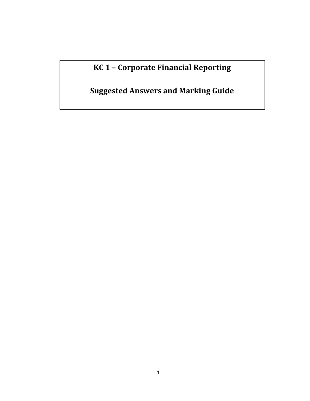**KC 1 – Corporate Financial Reporting**

**Suggested Answers and Marking Guide**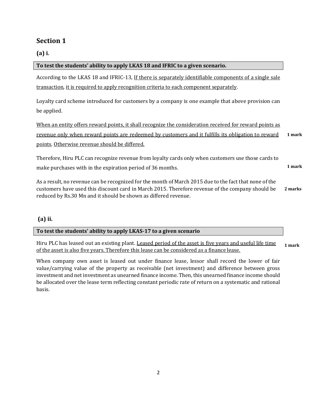# **Section 1**

**(a) i.**

| To test the students' ability to apply LKAS 18 and IFRIC to a given scenario.                           |         |
|---------------------------------------------------------------------------------------------------------|---------|
| According to the LKAS 18 and IFRIC-13, If there is separately identifiable components of a single sale  |         |
| transaction, it is required to apply recognition criteria to each component separately.                 |         |
| Loyalty card scheme introduced for customers by a company is one example that above provision can       |         |
| be applied.                                                                                             |         |
| When an entity offers reward points, it shall recognize the consideration received for reward points as |         |
| revenue only when reward points are redeemed by customers and it fulfills its obligation to reward      | 1 mark  |
| points. Otherwise revenue should be differed.                                                           |         |
| Therefore, Hiru PLC can recognize revenue from loyalty cards only when customers use those cards to     |         |
| make purchases with in the expiration period of 36 months.                                              | 1 mark  |
| As a result, no revenue can be recognized for the month of March 2015 due to the fact that none of the  |         |
| customers have used this discount card in March 2015. Therefore revenue of the company should be        | 2 marks |

# **(a) ii.**

#### **To test the students' ability to apply LKAS-17 to a given scenario**

reduced by Rs.30 Mn and it should be shown as differed revenue.

Hiru PLC has leased out an existing plant. Leased period of the asset is five years and useful life time of the asset is also five years. Therefore this lease can be considered as a finance lease. **1 mark**

When company own asset is leased out under finance lease, lessor shall record the lower of fair value/carrying value of the property as receivable (net investment) and difference between gross investment and net investment as unearned finance income. Then, this unearned finance income should be allocated over the lease term reflecting constant periodic rate of return on a systematic and rational basis.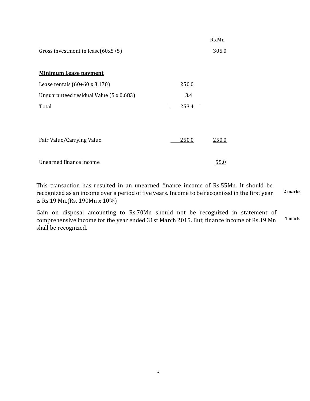| Gross investment in lease $(60x5+5)$    |       | Rs.Mn<br>305.0 |
|-----------------------------------------|-------|----------------|
| <b>Minimum Lease payment</b>            |       |                |
| Lease rentals $(60+60 \times 3.170)$    | 250.0 |                |
| Unguaranteed residual Value (5 x 0.683) | 3.4   |                |
| Total                                   | 253.4 |                |
|                                         |       |                |
| Fair Value/Carrying Value               | 250.0 | 250.0          |
| Unearned finance income                 |       | 55.0           |

This transaction has resulted in an unearned finance income of Rs.55Mn. It should be recognized as an income over a period of five years. Income to be recognized in the first year is Rs.19 Mn.(Rs. 190Mn x 10%) **2 marks**

Gain on disposal amounting to Rs.70Mn should not be recognized in statement of comprehensive income for the year ended 31st March 2015. But, finance income of Rs.19 Mn shall be recognized. **1 mark**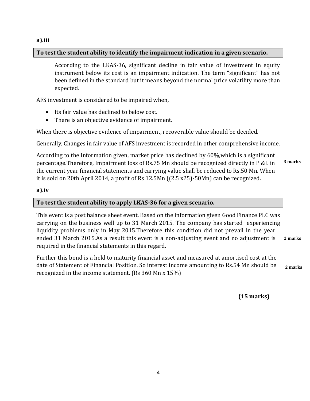#### **a).iii**

#### **To test the student ability to identify the impairment indication in a given scenario.**

According to the LKAS-36, significant decline in fair value of investment in equity instrument below its cost is an impairment indication. The term "significant" has not been defined in the standard but it means beyond the normal price volatility more than expected.

AFS investment is considered to be impaired when,

- Its fair value has declined to below cost.
- There is an objective evidence of impairment.

When there is objective evidence of impairment, recoverable value should be decided.

Generally, Changes in fair value of AFS investment is recorded in other comprehensive income.

According to the information given, market price has declined by 60%,which is a significant percentage.Therefore, Impairment loss of Rs.75 Mn should be recognized directly in P &L in the current year financial statements and carrying value shall be reduced to Rs.50 Mn. When it is sold on 20th April 2014, a profit of Rs 12.5Mn ((2.5 x25)-50Mn) can be recognized. **3 marks**

#### **a).iv**

#### **To test the student ability to apply LKAS-36 for a given scenario.**

This event is a post balance sheet event. Based on the information given Good Finance PLC was carrying on the business well up to 31 March 2015. The company has started experiencing liquidity problems only in May 2015.Therefore this condition did not prevail in the year ended 31 March 2015.As a result this event is a non-adjusting event and no adjustment is required in the financial statements in this regard. **2 marks**

Further this bond is a held to maturity financial asset and measured at amortised cost at the date of Statement of Financial Position. So interest income amounting to Rs.54 Mn should be recognized in the income statement. (Rs 360 Mn x 15%) **2 marks**

**(15 marks)**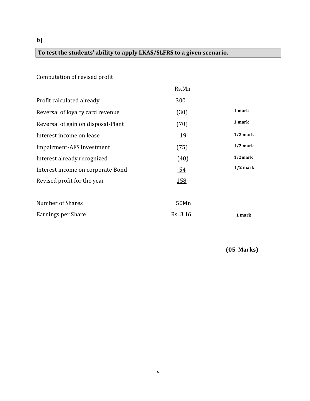**b)**

# **To test the students' ability to apply LKAS/SLFRS to a given scenario.**

# Computation of revised profit

|                                    | Rs.Mn           |            |
|------------------------------------|-----------------|------------|
| Profit calculated already          | 300             |            |
| Reversal of loyalty card revenue   | (30)            | 1 mark     |
| Reversal of gain on disposal-Plant | (70)            | 1 mark     |
| Interest income on lease           | 19              | $1/2$ mark |
| Impairment-AFS investment          | (75)            | $1/2$ mark |
| Interest already recognized        | (40)            | $1/2$ mark |
| Interest income on corporate Bond  | <u>54</u>       | $1/2$ mark |
| Revised profit for the year        | <u>158</u>      |            |
| Number of Shares                   | 50Mn            |            |
| Earnings per Share                 | <u>Rs. 3.16</u> | 1 mark     |

 **(05 Marks)**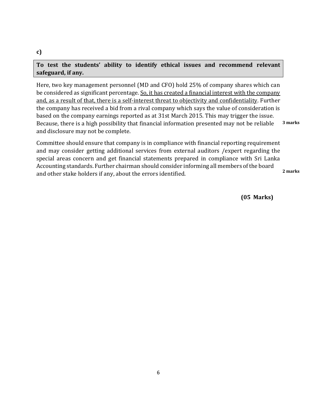# **To test the students' ability to identify ethical issues and recommend relevant safeguard, if any.**

Here, two key management personnel (MD and CFO) hold 25% of company shares which can be considered as significant percentage. So, it has created a financial interest with the company and, as a result of that, there is a self-interest threat to objectivity and confidentiality. Further the company has received a bid from a rival company which says the value of consideration is based on the company earnings reported as at 31st March 2015. This may trigger the issue. Because, there is a high possibility that financial information presented may not be reliable and disclosure may not be complete. **3 marks**

Committee should ensure that company is in compliance with financial reporting requirement and may consider getting additional services from external auditors /expert regarding the special areas concern and get financial statements prepared in compliance with Sri Lanka Accounting standards. Further chairman should consider informing all members of the board and other stake holders if any, about the errors identified. **2 marks**

 **(05 Marks)**

# **c)**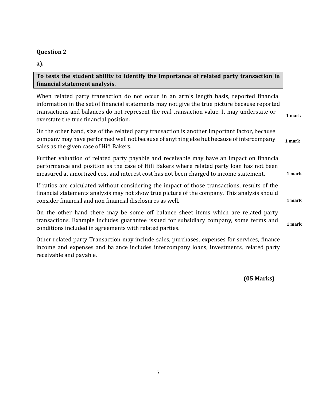# **Question 2**

**a).**

**To tests the student ability to identify the importance of related party transaction in financial statement analysis.**

When related party transaction do not occur in an arm's length basis, reported financial information in the set of financial statements may not give the true picture because reported transactions and balances do not represent the real transaction value. It may understate or overstate the true financial position.  **1 mark**

On the other hand, size of the related party transaction is another important factor, because company may have performed well not because of anything else but because of intercompany sales as the given case of Hifi Bakers. **1 mark**

Further valuation of related party payable and receivable may have an impact on financial performance and position as the case of Hifi Bakers where related party loan has not been measured at amortized cost and interest cost has not been charged to income statement.

If ratios are calculated without considering the impact of those transactions, results of the financial statements analysis may not show true picture of the company. This analysis should consider financial and non financial disclosures as well.

On the other hand there may be some off balance sheet items which are related party transactions. Example includes guarantee issued for subsidiary company, some terms and conditions included in agreements with related parties. **1 mark**

Other related party Transaction may include sales, purchases, expenses for services, finance income and expenses and balance includes intercompany loans, investments, related party receivable and payable.

 **(05 Marks)**

**1 mark**

**1 mark**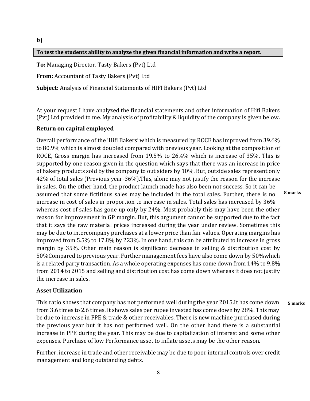#### **b)**

#### **To test the students ability to analyze the given financial information and write a report.**

**To:** Managing Director, Tasty Bakers (Pvt) Ltd

**From:** Accountant of Tasty Bakers (Pvt) Ltd

**Subject:** Analysis of Financial Statements of HIFI Bakers (Pvt) Ltd

At your request I have analyzed the financial statements and other information of Hifi Bakers (Pvt) Ltd provided to me. My analysis of profitability & liquidity of the company is given below.

#### **Return on capital employed**

Overall performance of the 'Hifi Bakers' which is measured by ROCE has improved from 39.6% to 80.9% which is almost doubled compared with previous year. Looking at the composition of ROCE, Gross margin has increased from 19.5% to 26.4% which is increase of 35%. This is supported by one reason given in the question which says that there was an increase in price of bakery products sold by the company to out siders by 10%. But, outside sales represent only 42% of total sales (Previous year-36%).This, alone may not justify the reason for the increase in sales. On the other hand, the product launch made has also been not success. So it can be assumed that some fictitious sales may be included in the total sales. Further, there is no increase in cost of sales in proportion to increase in sales. Total sales has increased by 36% whereas cost of sales has gone up only by 24%. Most probably this may have been the other reason for improvement in GP margin. But, this argument cannot be supported due to the fact that it says the raw material prices increased during the year under review. Sometimes this may be due to intercompany purchases at a lower price than fair values. Operating margins has improved from 5.5% to 17.8% by 223%. In one hand, this can be attributed to increase in gross margin by 35%. Other main reason is significant decrease in selling & distribution cost by 50%Compared to previous year. Further management fees have also come down by 50%which is a related party transaction. As a whole operating expenses has come down from 14% to 9.8% from 2014 to 2015 and selling and distribution cost has come down whereas it does not justify the increase in sales. **8 marks**

#### **Asset Utilization**

This ratio shows that company has not performed well during the year 2015.It has come down from 3.6 times to 2.6 times. It shows sales per rupee invested has come down by 28%. This may be due to increase in PPE & trade & other receivables. There is new machine purchased during the previous year but it has not performed well. On the other hand there is a substantial increase in PPE during the year. This may be due to capitalization of interest and some other expenses. Purchase of low Performance asset to inflate assets may be the other reason. **5 marks**

Further, increase in trade and other receivable may be due to poor internal controls over credit management and long outstanding debts.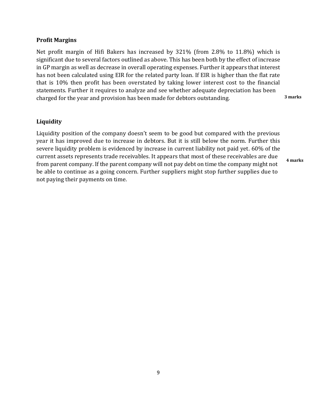#### **Profit Margins**

Net profit margin of Hifi Bakers has increased by 321% (from 2.8% to 11.8%) which is significant due to several factors outlined as above. This has been both by the effect of increase in GP margin as well as decrease in overall operating expenses. Further it appears that interest has not been calculated using EIR for the related party loan. If EIR is higher than the flat rate that is 10% then profit has been overstated by taking lower interest cost to the financial statements. Further it requires to analyze and see whether adequate depreciation has been charged for the year and provision has been made for debtors outstanding. **3 marks**

#### **Liquidity**

Liquidity position of the company doesn't seem to be good but compared with the previous year it has improved due to increase in debtors. But it is still below the norm. Further this severe liquidity problem is evidenced by increase in current liability not paid yet. 60% of the current assets represents trade receivables. It appears that most of these receivables are due from parent company. If the parent company will not pay debt on time the company might not be able to continue as a going concern. Further suppliers might stop further supplies due to not paying their payments on time. **4 marks**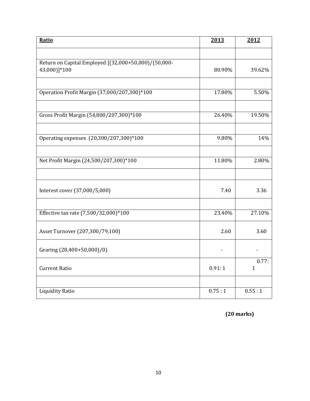| Ratio                                                                | 2013   | 2012                  |
|----------------------------------------------------------------------|--------|-----------------------|
|                                                                      |        |                       |
| Return on Capital Employed [(32,000+50,000)/(50,000-<br>43,000)]*100 | 80.90% | 39.62%                |
| Operation Profit Margin (37,000/207,300)*100                         | 17.80% | 5.50%                 |
|                                                                      |        |                       |
| Gross Profit Margin (54,800/207,300)*100                             | 26.40% | 19.50%                |
| Operating expenses (20,300/207,300)*100                              | 9.80%  | 14%                   |
| Net Profit Margin (24,500/207,300)*100                               | 11.80% | 2.80%                 |
|                                                                      |        |                       |
| Interest cover (37,000/5,000)                                        | 7.40   | 3.36                  |
| Effective tax rate (7,500/32,000)*100                                | 23.40% | 27.10%                |
| Asset Turnover (207,300/79,100)                                      | 2.60   | 3.60                  |
| Gearing (28,400+50,000)/0)                                           |        |                       |
| <b>Current Ratio</b>                                                 | 0.91:1 | 0.77:<br>$\mathbf{1}$ |
|                                                                      |        |                       |
| <b>Liquidity Ratio</b>                                               | 0.75:1 | 0.55:1                |

**(20 marks)**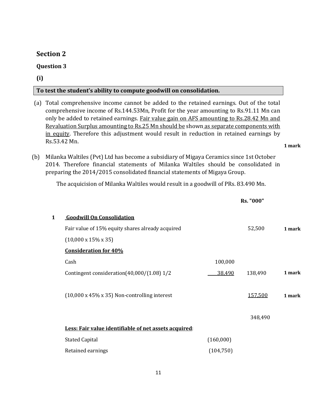# **Section 2**

#### **Question 3**

**(i)**

#### **To test the student's ability to compute goodwill on consolidation.**

(a) Total comprehensive income cannot be added to the retained earnings. Out of the total comprehensive income of Rs.144.53Mn, Profit for the year amounting to Rs.91.11 Mn can only be added to retained earnings. Fair value gain on AFS amounting to Rs.28.42 Mn and Revaluation Surplus amounting to Rs.25 Mn should be shown as separate components with in equity. Therefore this adjustment would result in reduction in retained earnings by Rs.53.42 Mn.

**1 mark**

(b) Milanka Waltiles (Pvt) Ltd has become a subsidiary of Migaya Ceramics since 1st October 2014. Therefore financial statements of Milanka Waltiles should be consolidated in preparing the 2014/2015 consolidated financial statements of Migaya Group.

The acquicision of Milanka Waltiles would result in a goodwill of PRs. 83.490 Mn.

|   |                                                           |            | Rs. "000" |        |
|---|-----------------------------------------------------------|------------|-----------|--------|
| 1 | <b>Goodwill On Consolidation</b>                          |            |           |        |
|   | Fair value of 15% equity shares already acquired          |            | 52,500    | 1 mark |
|   | $(10,000 \times 15\% \times 35)$                          |            |           |        |
|   | <b>Consideration for 40%</b>                              |            |           |        |
|   | Cash                                                      | 100,000    |           |        |
|   | Contingent consideration(40,000/(1.08) 1/2                | 38,490     | 138,490   | 1 mark |
|   |                                                           |            |           |        |
|   | $(10,000 \times 45\% \times 35)$ Non-controlling interest |            | 157,500   | 1 mark |
|   |                                                           |            |           |        |
|   |                                                           |            | 348,490   |        |
|   | Less: Fair value identifiable of net assets acquired:     |            |           |        |
|   | <b>Stated Capital</b>                                     | (160,000)  |           |        |
|   | Retained earnings                                         | (104, 750) |           |        |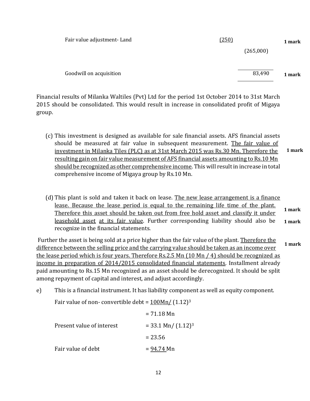| Fair value adjustment-Land | (250)<br>(265,000) | 1 mark |
|----------------------------|--------------------|--------|
| Goodwill on acquisition    | 83,490             | 1 mark |

Financial results of Milanka Waltiles (Pvt) Ltd for the period 1st October 2014 to 31st March 2015 should be consolidated. This would result in increase in consolidated profit of Migaya group.

- (c) This investment is designed as available for sale financial assets. AFS financial assets should be measured at fair value in subsequent measurement. The fair value of investment in Milanka Tiles (PLC) as at 31st March 2015 was Rs.30 Mn. Therefore the resulting gain on fair value measurement of AFS financial assets amounting to Rs.10 Mn should be recognized as other comprehensive income. This will result in increase in total comprehensive income of Migaya group by Rs.10 Mn. **1 mark**
- (d) This plant is sold and taken it back on lease. The new lease arrangement is a finance lease. Because the lease period is equal to the remaining life time of the plant. Therefore this asset should be taken out from free hold asset and classify it under leasehold asset at its fair value. Further corresponding liability should also be recognize in the financial statements. **1 mark 1 mark**

Further the asset is being sold at a price higher than the fair value of the plant. Therefore the difference between the selling price and the carrying value should be taken as an income over the lease period which is four years. Therefore Rs.2.5 Mn (10 Mn / 4) should be recognized as income in preparation of 2014/2015 consolidated financial statements. Installment already paid amounting to Rs.15 Mn recognized as an asset should be derecognized. It should be split among repayment of capital and interest, and adjust accordingly. **1 mark**

e) This is a financial instrument. It has liability component as well as equity component.

Fair value of non- convertible debt =  $100Mn/$  (1.12)<sup>3</sup>

|                           | $= 71.18$ Mn            |
|---------------------------|-------------------------|
| Present value of interest | $=$ 33.1 Mn/ $(1.12)^3$ |
|                           | $= 23.56$               |
| Fair value of debt        | $= 94.74$ Mn            |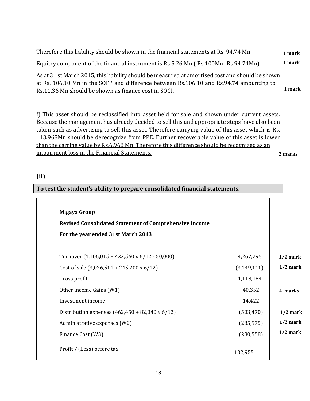| Therefore this liability should be shown in the financial statements at Rs. 94.74 Mn.                                                                                                      | 1 mark |
|--------------------------------------------------------------------------------------------------------------------------------------------------------------------------------------------|--------|
| Equitry component of the financial instrument is Rs.5.26 Mn. (Rs.100Mn-Rs.94.74Mn)                                                                                                         | 1 mark |
| As at 31 st March 2015, this liability should be measured at amortised cost and should be shown<br>at Rs. 106.10 Mn in the SOFP and difference between Rs.106.10 and Rs.94.74 amounting to |        |
| De 11 26 Mn should be shown as finance sost in SOCI                                                                                                                                        | 1 mark |

Rs.11.36 Mn should be shown as finance cost in SOCI.

f) This asset should be reclassified into asset held for sale and shown under current assets. Because the management has already decided to sell this and appropriate steps have also been taken such as advertising to sell this asset. Therefore carrying value of this asset which is Rs. 113.968Mn should be derecognize from PPE. Further recoverable value of this asset is lower than the carring value by Rs.6.968 Mn. Therefore this difference should be recognized as an impairment loss in the Financial Statements. **2 marks**

**(ii)**

| To test the student's ability to prepare consolidated financial statements. |             |            |
|-----------------------------------------------------------------------------|-------------|------------|
| Migaya Group                                                                |             |            |
| <b>Revised Consolidated Statement of Comprehensive Income</b>               |             |            |
| For the year ended 31st March 2013                                          |             |            |
| Turnover $(4,106,015 + 422,560 \times 6/12 - 50,000)$                       | 4,267,295   | $1/2$ mark |
| Cost of sale $(3,026,511 + 245,200 \times 6/12)$                            | (3,149,111) | $1/2$ mark |
| Gross profit                                                                | 1,118,184   |            |
| Other income Gains (W1)                                                     | 40,352      | 4 marks    |
| Investment income                                                           | 14,422      |            |
| Distribution expenses $(462, 450 + 82, 040 \times 6/12)$                    | (503, 470)  | $1/2$ mark |
| Administrative expenses (W2)                                                | (285, 975)  | $1/2$ mark |
| Finance Cost (W3)                                                           | (280, 558)  | $1/2$ mark |
| Profit / (Loss) before tax                                                  | 102,955     |            |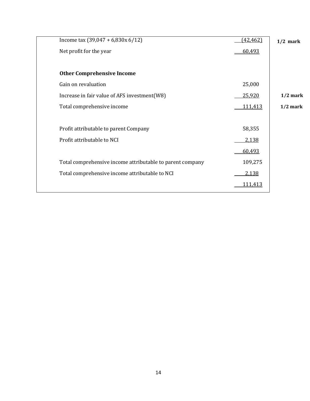| Income tax $(39,047 + 6,830x 6/12)$                       | (42, 462)      | $1/2$ mark |
|-----------------------------------------------------------|----------------|------------|
| Net profit for the year                                   | 60,493         |            |
|                                                           |                |            |
| <b>Other Comprehensive Income</b>                         |                |            |
| Gain on revaluation                                       | 25,000         |            |
| Increase in fair value of AFS investment(W8)              | 25,920         | $1/2$ mark |
| Total comprehensive income                                | 111,413        | $1/2$ mark |
|                                                           |                |            |
| Profit attributable to parent Company                     | 58,355         |            |
| Profit attributable to NCI                                | 2,138          |            |
|                                                           | 60,493         |            |
| Total comprehensive income attributable to parent company | 109,275        |            |
| Total comprehensive income attributable to NCI            | 2,138          |            |
|                                                           | <u>111,413</u> |            |
|                                                           |                |            |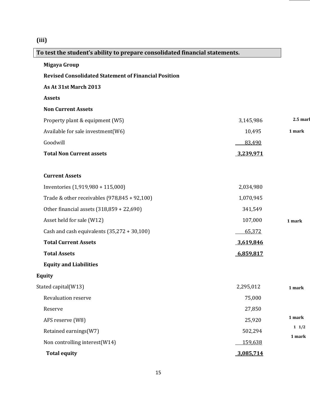# **(iii)**

**Migaya Group**

# **To test the student's ability to prepare consolidated financial statements.**

| <b>Revised Consolidated Statement of Financial Position</b> |           |                    |
|-------------------------------------------------------------|-----------|--------------------|
| As At 31st March 2013                                       |           |                    |
| <b>Assets</b>                                               |           |                    |
| <b>Non Current Assets</b>                                   |           |                    |
| Property plant & equipment (W5)                             | 3,145,986 | 2.5 <sub>mar</sub> |
| Available for sale investment(W6)                           | 10,495    | 1 mark             |
| Goodwill                                                    | 83,490    |                    |
| <b>Total Non Current assets</b>                             | 3,239,971 |                    |
| <b>Current Assets</b>                                       |           |                    |
| Inventories (1,919,980 + 115,000)                           | 2,034,980 |                    |
| Trade & other receivables $(978, 845 + 92, 100)$            | 1,070,945 |                    |
| Other financial assets (318,859 + 22,690)                   | 341,549   |                    |
| Asset held for sale (W12)                                   | 107,000   | 1 mark             |
| Cash and cash equivalents $(35,272 + 30,100)$               | 65,372    |                    |
| <b>Total Current Assets</b>                                 | 3,619,846 |                    |
| <b>Total Assets</b>                                         | 6,859,817 |                    |
| <b>Equity and Liabilities</b>                               |           |                    |
| <b>Equity</b>                                               |           |                    |
| Stated capital(W13)                                         | 2,295,012 | 1 mark             |
| Revaluation reserve                                         | 75,000    |                    |
| Reserve                                                     | 27,850    |                    |
| AFS reserve (W8)                                            | 25,920    | 1 mark             |
| Retained earnings(W7)                                       | 502,294   | $1 \t1/2$          |
| Non controlling interest(W14)                               | 159,638   | 1 mark             |
| <b>Total equity</b>                                         | 3,085,714 |                    |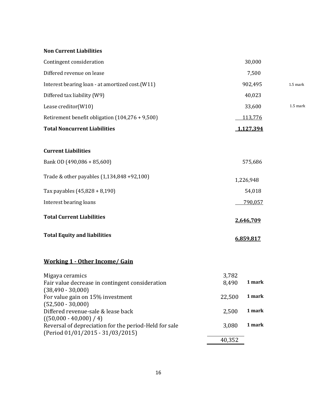#### **Non Current Liabilities**

| Contingent consideration                                           | 30,000                   |          |
|--------------------------------------------------------------------|--------------------------|----------|
| Differed revenue on lease                                          | 7,500                    |          |
| Interest bearing loan - at amortized cost.(W11)                    | 902,495                  | 1.5 mark |
| Differed tax liability (W9)                                        | 40,023                   |          |
| Lease creditor(W10)                                                | 33,600                   | 1.5 mark |
| Retirement benefit obligation (104,276 + 9,500)                    | 113,776                  |          |
| <b>Total Noncurrent Liabilities</b>                                | 1,127,394                |          |
| <b>Current Liabilities</b>                                         |                          |          |
| Bank OD (490,086 + 85,600)                                         | 575,686                  |          |
| Trade & other payables (1,134,848 +92,100)                         | 1,226,948                |          |
| Tax payables (45,828 + 8,190)                                      | 54,018                   |          |
| Interest bearing loans                                             | 790,057                  |          |
| <b>Total Current Liabilities</b>                                   | 2,646,709                |          |
| <b>Total Equity and liabilities</b>                                | 6,859,817                |          |
| <b>Working 1 - Other Income/ Gain</b>                              |                          |          |
| Migaya ceramics<br>Fair value decrease in contingent consideration | 3,782<br>1 mark<br>8,490 |          |

| Fair value decrease in contingent consideration       | 8,490  | 1 mark |
|-------------------------------------------------------|--------|--------|
| $(38,490 - 30,000)$                                   |        |        |
| For value gain on 15% investment                      | 22,500 | 1 mark |
| $(52,500 - 30,000)$                                   |        |        |
| Differed revenue-sale & lease back                    | 2,500  | 1 mark |
| $((50,000 - 40,000) / 4)$                             |        |        |
| Reversal of depreciation for the period-Held for sale | 3,080  | 1 mark |
| (Period 01/01/2015 - 31/03/2015)                      |        |        |
|                                                       | 40,352 |        |
|                                                       |        |        |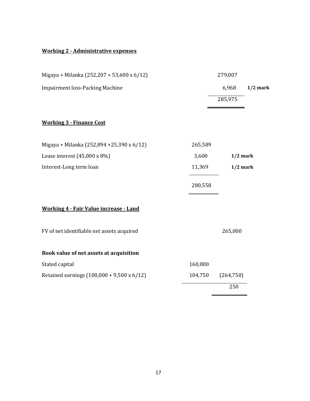## **Working 2 - Administrative expenses**

| Migaya + Milanka (252,207 + 53,600 x 6/12)    |         | 279,007    |            |
|-----------------------------------------------|---------|------------|------------|
| <b>Impairment loss-Packing Machine</b>        |         | 6,968      | $1/2$ mark |
|                                               |         | 285,975    |            |
| <b>Working 3 - Finance Cost</b>               |         |            |            |
| Migaya + Milanka (252,894 +25,390 x 6/12)     | 265,589 |            |            |
| Lease interest $(45,000 \times 8\%)$          | 3,600   | $1/2$ mark |            |
| Interest-Long term loan                       | 11,369  | $1/2$ mark |            |
|                                               | 280,558 |            |            |
| <b>Working 4 - Fair Value increase - Land</b> |         |            |            |
| FV of net identifiable net assets acquired    |         | 265,000    |            |
| Book value of net assets at acquisition       |         |            |            |
| Stated capital                                | 160,000 |            |            |
| Retained earnings (100,000 + 9,500 x 6/12)    | 104,750 | (264, 750) |            |
|                                               |         | 250        |            |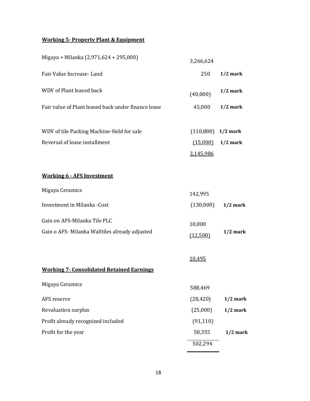## **Working 5- Property Plant & Equipment**

| Migaya + Milanka (2,971,624 + 295,000)              | 3,266,624            |            |
|-----------------------------------------------------|----------------------|------------|
| Fair Value Increase-Land                            | 250                  | $1/2$ mark |
| <b>WDV</b> of Plant leased back                     | (40,000)             | $1/2$ mark |
| Fair value of Plant leased back under finance lease | 45,000               | $1/2$ mark |
| WDV of tile Packing Machine-Held for sale           | $(110,888)$ 1/2 mark |            |
| Reversal of lease installment                       | (15,000)             | $1/2$ mark |
|                                                     | 3,145,986            |            |
| <b>Working 6 - AFS Investment</b>                   |                      |            |
| Migaya Ceramics                                     | 142,995              |            |
| Investment in Milanka -Cost                         | (130,000)            | $1/2$ mark |
| Gain on AFS-Milanka Tile PLC                        | 10,000               |            |
| Gain o AFS- Milanka Walltiles already adjusted      | (12,500)             | $1/2$ mark |
| <b>Working 7- Consolidated Retained Earnings</b>    | <u>10,495</u>        |            |
| Migaya Ceramics                                     | 588,469              |            |
| AFS reserve                                         | (28, 420)            | $1/2$ mark |
| Revaluation surplus                                 | (25,000)             | $1/2$ mark |
| Profit already recognized included                  | (91, 110)            |            |
| Profit for the year                                 | 58,355               | $1/2$ mark |
|                                                     | 502,294              |            |

-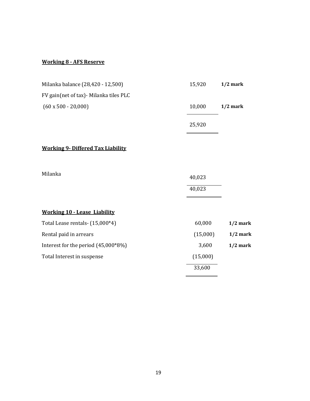#### **Working 8 - AFS Reserve**

| Milanka balance (28,420 - 12,500)        | 15,920   | $1/2$ mark |
|------------------------------------------|----------|------------|
| FV gain(net of tax) - Milanka tiles PLC  |          |            |
| $(60 \times 500 - 20,000)$               | 10,000   | $1/2$ mark |
|                                          | 25,920   |            |
| <b>Working 9- Differed Tax Liability</b> |          |            |
| Milanka                                  | 40,023   |            |
|                                          | 40,023   |            |
| <b>Working 10 - Lease Liability</b>      |          |            |
| Total Lease rentals- (15,000*4)          | 60,000   | $1/2$ mark |
| Rental paid in arrears                   | (15,000) | $1/2$ mark |
| Interest for the period (45,000*8%)      | 3,600    | $1/2$ mark |
| Total Interest in suspense               | (15,000) |            |
|                                          | 33,600   |            |

 $\blacksquare$ 

L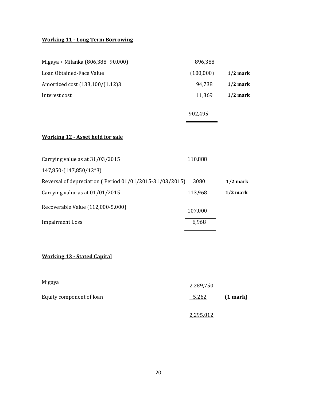# **Working 11 - Long Term Borrowing**

| Migaya + Milanka (806,388+90,000)                       | 896,388   |            |
|---------------------------------------------------------|-----------|------------|
| Loan Obtained-Face Value                                | (100,000) | $1/2$ mark |
| Amortized cost (133,100/(1.12)3                         | 94,738    | $1/2$ mark |
| Interest cost                                           | 11,369    | $1/2$ mark |
|                                                         | 902,495   |            |
| <b>Working 12 - Asset held for sale</b>                 |           |            |
| Carrying value as at 31/03/2015                         | 110,888   |            |
| 147,850-(147,850/12*3)                                  |           |            |
| Reversal of depreciation (Period 01/01/2015-31/03/2015) | 3080      | $1/2$ mark |
| Carrying value as at 01/01/2015                         | 113,968   | $1/2$ mark |
| Recoverable Value (112,000-5,000)                       | 107,000   |            |
| <b>Impairment Loss</b>                                  | 6,968     |            |
|                                                         |           |            |
| <b>Working 13 - Stated Capital</b>                      |           |            |
| Migaya                                                  | 2,289,750 |            |
| Equity component of loan                                | 5,262     | (1 mark)   |
|                                                         | 2,295,012 |            |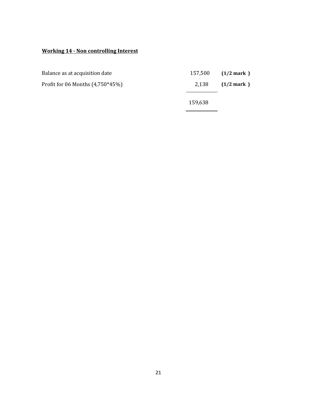## **Working 14 - Non controlling Interest**

| Balance as at acquisition date     |         | $157,500$ $(1/2$ mark ) |
|------------------------------------|---------|-------------------------|
| Profit for 06 Months $(4,750*45%)$ | 2.138   | $(1/2 \text{ mark})$    |
|                                    | 159,638 |                         |

 $\overline{\phantom{0}}$ 

 $\overline{a}$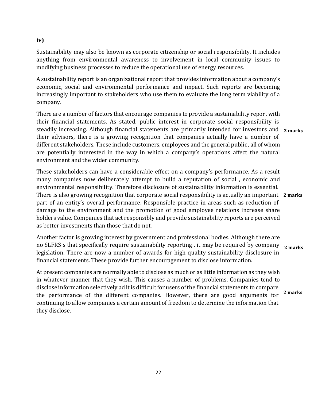# **iv)**

Sustainability may also be known as corporate citizenship or social responsibility. It includes anything from environmental awareness to involvement in local community issues to modifying business processes to reduce the operational use of energy resources.

A sustainability report is an organizational report that provides information about a company's economic, social and environmental performance and impact. Such reports are becoming increasingly important to stakeholders who use them to evaluate the long term viability of a company.

There are a number of factors that encourage companies to provide a sustainability report with their financial statements. As stated, public interest in corporate social responsibility is steadily increasing. Although financial statements are primarily intended for investors and 2 marks their advisors, there is a growing recognition that companies actually have a number of different stakeholders. These include customers, employees and the general public , all of whom are potentially interested in the way in which a company's operations affect the natural environment and the wider community.

These stakeholders can have a considerable effect on a company's performance. As a result many companies now deliberately attempt to build a reputation of social , economic and environmental responsibility. Therefore disclosure of sustainability information is essential. There is also growing recognition that corporate social responsibility is actually an important 2 marks part of an entity's overall performance. Responsible practice in areas such as reduction of damage to the environment and the promotion of good employee relations increase share holders value. Companies that act responsibly and provide sustainability reports are perceived as better investments than those that do not.

Another factor is growing interest by government and professional bodies. Although there are no SLFRS s that specifically require sustainability reporting , it may be required by company legislation. There are now a number of awards for high quality sustainability disclosure in financial statements. These provide further encouragement to disclose information. **1/2 marks**

At present companies are normally able to disclose as much or as little information as they wish in whatever manner that they wish. This causes a number of problems. Companies tend to disclose information selectively ad it is difficult for users of the financial statements to compare the performance of the different companies. However, there are good arguments for continuing to allow companies a certain amount of freedom to determine the information that they disclose. **1/2 marks**